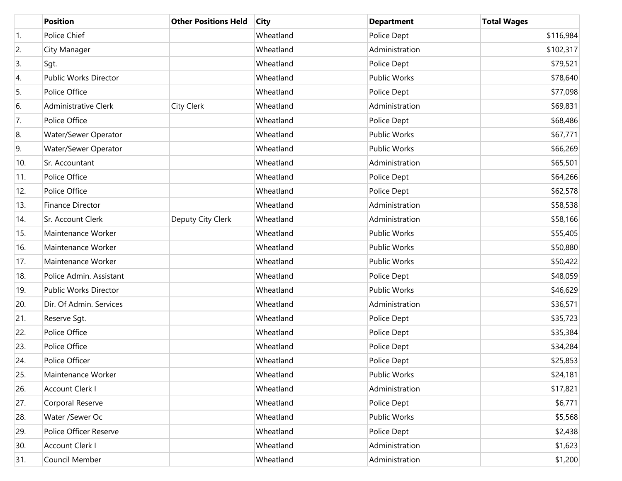|                  | <b>Position</b>             | <b>Other Positions Held</b> | <b>City</b> | <b>Department</b>   | <b>Total Wages</b> |
|------------------|-----------------------------|-----------------------------|-------------|---------------------|--------------------|
| $\overline{1}$ . | Police Chief                |                             | Wheatland   | Police Dept         | \$116,984          |
| 2.               | City Manager                |                             | Wheatland   | Administration      | \$102,317          |
| 3.               | Sgt.                        |                             | Wheatland   | Police Dept         | \$79,521           |
| 4.               | Public Works Director       |                             | Wheatland   | <b>Public Works</b> | \$78,640           |
| 5.               | Police Office               |                             | Wheatland   | Police Dept         | \$77,098           |
| 6.               | <b>Administrative Clerk</b> | City Clerk                  | Wheatland   | Administration      | \$69,831           |
| 7.               | Police Office               |                             | Wheatland   | Police Dept         | \$68,486           |
| 8.               | Water/Sewer Operator        |                             | Wheatland   | <b>Public Works</b> | \$67,771           |
| 9.               | Water/Sewer Operator        |                             | Wheatland   | <b>Public Works</b> | \$66,269           |
| 10.              | Sr. Accountant              |                             | Wheatland   | Administration      | \$65,501           |
| 11.              | Police Office               |                             | Wheatland   | Police Dept         | \$64,266           |
| 12.              | Police Office               |                             | Wheatland   | Police Dept         | \$62,578           |
| 13.              | <b>Finance Director</b>     |                             | Wheatland   | Administration      | \$58,538           |
| 14.              | Sr. Account Clerk           | Deputy City Clerk           | Wheatland   | Administration      | \$58,166           |
| 15.              | Maintenance Worker          |                             | Wheatland   | <b>Public Works</b> | \$55,405           |
| 16.              | Maintenance Worker          |                             | Wheatland   | <b>Public Works</b> | \$50,880           |
| 17.              | Maintenance Worker          |                             | Wheatland   | <b>Public Works</b> | \$50,422           |
| 18.              | Police Admin. Assistant     |                             | Wheatland   | Police Dept         | \$48,059           |
| 19.              | Public Works Director       |                             | Wheatland   | <b>Public Works</b> | \$46,629           |
| 20.              | Dir. Of Admin. Services     |                             | Wheatland   | Administration      | \$36,571           |
| 21.              | Reserve Sgt.                |                             | Wheatland   | Police Dept         | \$35,723           |
| 22.              | Police Office               |                             | Wheatland   | Police Dept         | \$35,384           |
| 23.              | Police Office               |                             | Wheatland   | Police Dept         | \$34,284           |
| 24.              | Police Officer              |                             | Wheatland   | Police Dept         | \$25,853           |
| 25.              | Maintenance Worker          |                             | Wheatland   | Public Works        | \$24,181           |
| 26.              | Account Clerk I             |                             | Wheatland   | Administration      | \$17,821           |
| 27.              | Corporal Reserve            |                             | Wheatland   | Police Dept         | \$6,771            |
| 28.              | Water /Sewer Oc             |                             | Wheatland   | Public Works        | \$5,568            |
| 29.              | Police Officer Reserve      |                             | Wheatland   | Police Dept         | \$2,438            |
| 30.              | Account Clerk I             |                             | Wheatland   | Administration      | \$1,623            |
| 31.              | Council Member              |                             | Wheatland   | Administration      | \$1,200            |